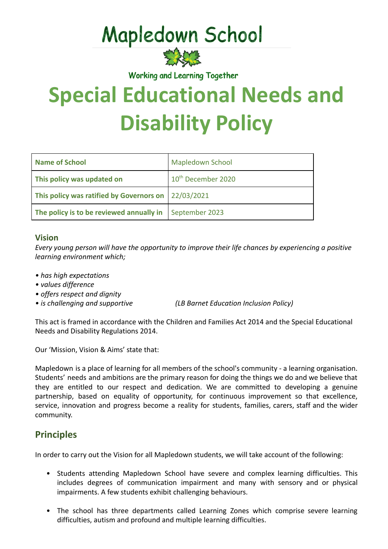## **Mapledown School**



Working and Learning Together

# **Special Educational Needs and Disability Policy**

| <b>Name of School</b>                    | <b>Mapledown School</b>        |
|------------------------------------------|--------------------------------|
| This policy was updated on               | 10 <sup>th</sup> December 2020 |
| This policy was ratified by Governors on | 22/03/2021                     |
| The policy is to be reviewed annually in | September 2023                 |

#### **Vision**

*Every young person will have the opportunity to improve their life chances by experiencing a positive learning environment which;*

- *has high expectations*
- *values difference*
- *offers respect and dignity*
- *is challenging and supportive (LB Barnet Education Inclusion Policy)*

This act is framed in accordance with the Children and Families Act 2014 and the Special Educational Needs and Disability Regulations 2014.

Our 'Mission, Vision & Aims' state that:

Mapledown is a place of learning for all members of the school's community - a learning organisation. Students' needs and ambitions are the primary reason for doing the things we do and we believe that they are entitled to our respect and dedication. We are committed to developing a genuine partnership, based on equality of opportunity, for continuous improvement so that excellence, service, innovation and progress become a reality for students, families, carers, staff and the wider community.

## **Principles**

In order to carry out the Vision for all Mapledown students, we will take account of the following:

- Students attending Mapledown School have severe and complex learning difficulties. This includes degrees of communication impairment and many with sensory and or physical impairments. A few students exhibit challenging behaviours.
- The school has three departments called Learning Zones which comprise severe learning difficulties, autism and profound and multiple learning difficulties.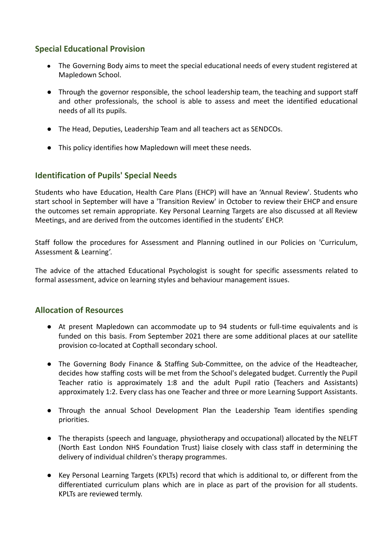#### **Special Educational Provision**

- The Governing Body aims to meet the special educational needs of every student registered at Mapledown School.
- Through the governor responsible, the school leadership team, the teaching and support staff and other professionals, the school is able to assess and meet the identified educational needs of all its pupils.
- The Head, Deputies, Leadership Team and all teachers act as SENDCOs.
- This policy identifies how Mapledown will meet these needs.

#### **Identification of Pupils' Special Needs**

Students who have Education, Health Care Plans (EHCP) will have an 'Annual Review'. Students who start school in September will have a 'Transition Review' in October to review their EHCP and ensure the outcomes set remain appropriate. Key Personal Learning Targets are also discussed at all Review Meetings, and are derived from the outcomes identified in the students' EHCP.

Staff follow the procedures for Assessment and Planning outlined in our Policies on 'Curriculum, Assessment & Learning'.

The advice of the attached Educational Psychologist is sought for specific assessments related to formal assessment, advice on learning styles and behaviour management issues.

#### **Allocation of Resources**

- At present Mapledown can accommodate up to 94 students or full-time equivalents and is funded on this basis. From September 2021 there are some additional places at our satellite provision co-located at Copthall secondary school.
- The Governing Body Finance & Staffing Sub-Committee, on the advice of the Headteacher, decides how staffing costs will be met from the School's delegated budget. Currently the Pupil Teacher ratio is approximately 1:8 and the adult Pupil ratio (Teachers and Assistants) approximately 1:2. Every class has one Teacher and three or more Learning Support Assistants.
- Through the annual School Development Plan the Leadership Team identifies spending priorities.
- The therapists (speech and language, physiotherapy and occupational) allocated by the NELFT (North East London NHS Foundation Trust) liaise closely with class staff in determining the delivery of individual children's therapy programmes.
- Key Personal Learning Targets (KPLTs) record that which is additional to, or different from the differentiated curriculum plans which are in place as part of the provision for all students. KPLTs are reviewed termly.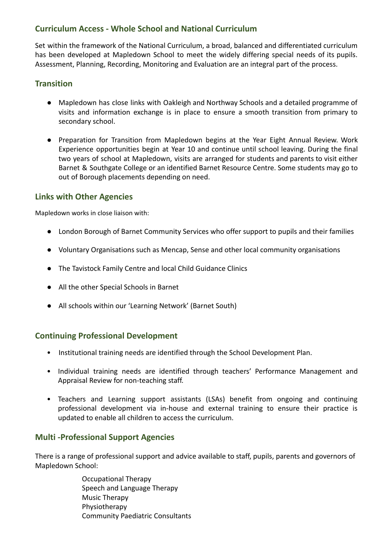#### **Curriculum Access - Whole School and National Curriculum**

Set within the framework of the National Curriculum, a broad, balanced and differentiated curriculum has been developed at Mapledown School to meet the widely differing special needs of its pupils. Assessment, Planning, Recording, Monitoring and Evaluation are an integral part of the process.

#### **Transition**

- Mapledown has close links with Oakleigh and Northway Schools and a detailed programme of visits and information exchange is in place to ensure a smooth transition from primary to secondary school.
- Preparation for Transition from Mapledown begins at the Year Eight Annual Review. Work Experience opportunities begin at Year 10 and continue until school leaving. During the final two years of school at Mapledown, visits are arranged for students and parents to visit either Barnet & Southgate College or an identified Barnet Resource Centre. Some students may go to out of Borough placements depending on need.

#### **Links with Other Agencies**

Mapledown works in close liaison with:

- London Borough of Barnet Community Services who offer support to pupils and their families
- Voluntary Organisations such as Mencap, Sense and other local community organisations
- The Tavistock Family Centre and local Child Guidance Clinics
- All the other Special Schools in Barnet
- All schools within our 'Learning Network' (Barnet South)

#### **Continuing Professional Development**

- Institutional training needs are identified through the School Development Plan.
- Individual training needs are identified through teachers' Performance Management and Appraisal Review for non-teaching staff.
- Teachers and Learning support assistants (LSAs) benefit from ongoing and continuing professional development via in-house and external training to ensure their practice is updated to enable all children to access the curriculum.

#### **Multi -Professional Support Agencies**

There is a range of professional support and advice available to staff, pupils, parents and governors of Mapledown School:

> Occupational Therapy Speech and Language Therapy Music Therapy Physiotherapy Community Paediatric Consultants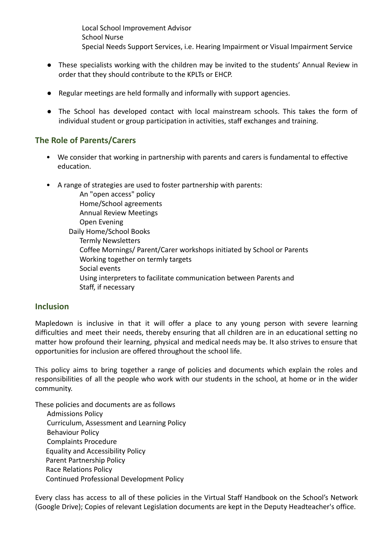Local School Improvement Advisor School Nurse Special Needs Support Services, i.e. Hearing Impairment or Visual Impairment Service

- These specialists working with the children may be invited to the students' Annual Review in order that they should contribute to the KPLTs or EHCP.
- Regular meetings are held formally and informally with support agencies.
- The School has developed contact with local mainstream schools. This takes the form of individual student or group participation in activities, staff exchanges and training.

#### **The Role of Parents/Carers**

- We consider that working in partnership with parents and carers is fundamental to effective education.
- A range of strategies are used to foster partnership with parents:

An "open access" policy Home/School agreements Annual Review Meetings Open Evening Daily Home/School Books Termly Newsletters Coffee Mornings/ Parent/Carer workshops initiated by School or Parents Working together on termly targets Social events Using interpreters to facilitate communication between Parents and Staff, if necessary

#### **Inclusion**

Mapledown is inclusive in that it will offer a place to any young person with severe learning difficulties and meet their needs, thereby ensuring that all children are in an educational setting no matter how profound their learning, physical and medical needs may be. It also strives to ensure that opportunities for inclusion are offered throughout the school life.

This policy aims to bring together a range of policies and documents which explain the roles and responsibilities of all the people who work with our students in the school, at home or in the wider community.

These policies and documents are as follows

Admissions Policy Curriculum, Assessment and Learning Policy Behaviour Policy Complaints Procedure Equality and Accessibility Policy Parent Partnership Policy Race Relations Policy Continued Professional Development Policy

Every class has access to all of these policies in the Virtual Staff Handbook on the School's Network (Google Drive); Copies of relevant Legislation documents are kept in the Deputy Headteacher's office.